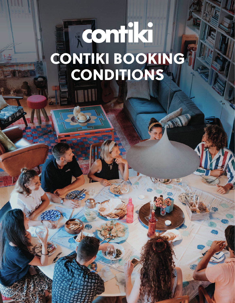# CONTIKI BOOKING CONDITIONS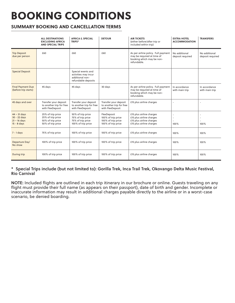# BOOKING CONDITIONS

# **SUMMARY BOOKING AND CANCELLATION TERMS**

|                                                                 | <b>ALL DESTINATIONS</b><br><b>EXCLUDING AFRICA</b><br><b>AND SPECIAL TRIPS</b>   | <b>AFRICA &amp; SPECIAL</b><br>TRIPS*                                                | <b>DETOUR</b>                                                                 | <b>AIR TICKETS</b><br>(either before/after trip or<br>included within trip)                                   | <b>EXTRA HOTEL</b><br><b>ACCOMMODATION</b> | <b>TRANSFERS</b>                  |
|-----------------------------------------------------------------|----------------------------------------------------------------------------------|--------------------------------------------------------------------------------------|-------------------------------------------------------------------------------|---------------------------------------------------------------------------------------------------------------|--------------------------------------------|-----------------------------------|
| <b>Trip Deposit</b><br>due per person                           | £60                                                                              | £60                                                                                  | £60                                                                           | As per airline policy. Full payment<br>may be required at time of<br>booking which may be non-<br>refundable. | No additional<br>deposit required          | No additional<br>deposit required |
| <b>Special Deposit</b>                                          |                                                                                  | Special events and<br>activities may incur<br>additional non-<br>refundable deposits |                                                                               |                                                                                                               |                                            |                                   |
| <b>Final Payment Due</b><br>(before trip starts)                | 45 days                                                                          | 45 days                                                                              | 30 days                                                                       | As per airline policy. Full payment<br>may be required at time of<br>booking which may be non-<br>refundable. | In accordance<br>with main trip            | In accordance<br>with main trip   |
| 45 days and over                                                | Transfer your deposit<br>to another trip for free<br>with FlexDeposit            | Transfer your deposit<br>to another trip for free<br>with FlexDeposit                | Transfer your deposit<br>to another trip for free<br>with FlexDeposit         | £15 plus airline charges                                                                                      |                                            |                                   |
| $44 - 31$ days<br>30 - 22 days<br>$21 - 16$ days<br>15 - 8 days | 25% of trip price<br>25% of trip price<br>50% of trip price<br>50% of trip price | 50% of trip price<br>75% of trip price<br>75% of trip price<br>100% of trip price    | FlexDeposit<br>100% of trip price<br>100% of trip price<br>100% of trip price | £15 plus airline charges<br>£15 plus airline charges<br>£15 plus airline charges<br>£15 plus airline charges  | 100%                                       | 100%                              |
| $7 - 1$ days                                                    | 75% of trip price                                                                | 100% of trip price                                                                   | 100% of trip price                                                            | £15 plus airline charges                                                                                      | 100%                                       | 100%                              |
| Departure Day/<br>No show                                       | 100% of trip price                                                               | 100% of trip price                                                                   | 100% of trip price                                                            | £15 plus airline charges                                                                                      | 100%                                       | 100%                              |
| During trip                                                     | 100% of trip price                                                               | 100% of trip price                                                                   | 100% of trip price                                                            | £15 plus airline charges                                                                                      | 100%                                       | 100%                              |

# **\* Special Trips include (but not limited to): Gorilla Trek, Inca Trail Trek, Okovango Delta Music Festival, Rio Carnival**

**NOTE:** Included flights are outlined in each trip itinerary in our brochure or online. Guests traveling on any flight must provide their full name (as appears on their passport), date of birth and gender. Incomplete or inaccurate information may result in additional charges payable directly to the airline or in a worst-case scenario, be denied boarding.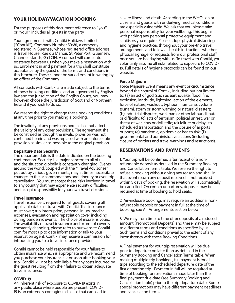# YOUR HOLIDAY/VACATION BOOKING

For the purposes of this document reference to "you" or "your" includes all guests in the party.

Your agreement is with Contiki Holidays Limited ("Contiki"), Company Number 50681, a company registered in Guernsey whose registered office address is Travel House, Rue du Manoir, St Peter Port, Guernsey, Channel Islands, GY1 2JH. A contract will come into existence between us when you make a reservation with us. Enrolment in and payment for a trip shall constitute acceptance by the guest of the terms and conditions in this brochure. These cannot be varied except in writing by an officer of the Company.

All contracts with Contiki are made subject to the terms of these booking conditions and are governed by English law and the jurisdiction of the English Courts, you may however, choose the jurisdiction of Scotland or Northern Ireland if you wish to do so.

We reserve the right to change these booking conditions at any time prior to you making a booking.

The invalidity of any provisions herein shall not affect the validity of any other provisions. The agreement shall be construed as though the invalid provision was not contained herein and was replaced with an enforceable provision as similar as possible to the original provision.

#### Departure Date Security

The departure date is the date indicated on the booking confirmation. Security is a major concern to all of us and the situation globally is constantly changing. Events around the world, coupled with the "Travel Advisories" put out by various governments, may at times necessitate changes to the accommodations and itinerary or even trip cancellation. You must accept these risks involved in travel to any country that may experience security difficulties and accept responsibility for your own travel decisions.

#### Travel Insurance

The availability of travel insurance and extent of cover is Travel insurance is required for all guests covering all applicable dates of travel with Contiki. This insurance must cover; trip interruption, personal injury, medical expenses, evacuation and repatriation cover including during pandemic events. The choice of insurer is yours. constantly changing, please refer to our website Contiki. com for most up to date information or talk to your reservation agent. Contiki may receive a commission for introducing you to a travel insurance provider.

Contiki cannot be held responsible for your failure to obtain insurance which is appropriate and we recommend you purchase your insurance at or soon after booking your trip. Contiki will not be held liable for any costs incurred by the guest resulting from their failure to obtain adequate travel insurance.

#### COVID-19

An inherent risk of exposure to COVID-19 exists in any public place where people are present. COVID-19 is an extremely contagious disease that can lead to severe illness and death. According to the WHO senior citizens and guests with underlying medical conditions are especially vulnerable. We ask that you please take personal responsibility for your wellbeing. This begins with packing any personal protective equipment and sanitisers you require. Please adopt physical distancing and hygiene practices throughout your pre-trip travel arrangements and follow all health instructions whether physical signage, or requests from our professional staff, once you are holidaying with us. To travel with Contiki, you voluntarily assume all risks related to exposure to COVID-19. Full details of hygiene protocols can be found on our website.

# Force Majeure

Force Majeure Event means any event or circumstance beyond the control of Contiki, including but not limited to: (a) an act of god (such as earthquake, flood, fire, explosion, landslide, lightning, action of the elements, force of nature, washout, typhoon, hurricane, cyclone, tsunami, storm or storm warning or natural disaster); (b) industrial disputes, work ban or other labour dispute or difficulty; (c) acts of terrorism, political unrest, war or threat of war, riots or civil strife; (d) failure or delays to scheduled transportation and the closure of airports or ports; (e) pandemic, epidemic or health risk; (f) governmental and administrative actions (including closure of borders and travel warnings and restrictions).

# RESERVATIONS AND PAYMENTS

1. Your trip will be confirmed after receipt of a nonrefundable deposit as detailed in the Summary Booking and Cancellation Terms table. We reserve the right to refuse a booking without giving any reason and shall in that event return any deposit received. If not received within 5 days of booking, the reservation will automatically be cancelled. On certain departures, deposits may be required at time of booking to hold seats.

2. Air-inclusive bookings may require an additional nonrefundable deposit or payment in full at the time of booking, see Air Arrangements section below.

3. We may from time to time offer deposits at a reduced amount (Promotional Deposits) and these may be subject to different terms and conditions as specified by us. Such terms and conditions prevail to the extent of any inconsistency with these Booking Conditions.

4. Final payment for your trip reservation will be due prior to departure no later than as detailed in the Summary Booking and Cancellation Terms table. When making multiple trip bookings, full payment is for all trips according to the scheduled departure date of the first departing trip. Payment in full will be required at time of booking for reservations made later than the final payment due date (see Summary Booking and Cancellation table) prior to the trip departure date. Some special promotions may have different payment deadlines and cancellation terms.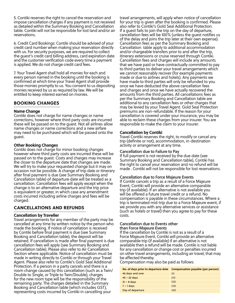5. Contiki reserves the right to cancel the reservation and impose cancellation charges if any payment is not received as detailed within the Summary Booking and Cancellation table. Contiki will not be responsible for lost land and/or air reservations.

6. Credit Card Bookings: Contiki should be advised of your credit card number when making your reservation directly with us. For security purposes, we are required to collect the guest's credit card billing address, card expiration date and the customer verification code every time a payment is applied. We do not charge credit card fees.

7. Your Travel Agent shall hold all monies for each and every person named in the booking until the booking is confirmed at which time your Travel Agent shall provide those monies promptly to us. You consent to us depositing monies received by us as required by law. We will be entitled to keep interest earned on monies.

# BOOKING CHANGES

# Name Change

Contiki does not charge for name changes or name corrections, however where third party costs are incurred these will be passed on to the guest. Not all airlines allow name changes or name corrections and a new airfare may need to be purchased which will be passed onto the guest.

# Other Booking Changes

Contiki does not charge for minor booking changes however where third party costs are incurred these will be passed on to the guest. Costs and charges may increase the closer to the departure date that changes are made. We will try to make your requested change but it may on occasion not be possible. A change of trip date or itinerary after final payment is due (see Summary Booking and Cancellation table) of departure date will be treated as a cancellation. Cancellation fees will apply except when the change is to an alternative departure and the trip price is equivalent or greater, in which case any amendment costs incurred including airline charges and fees will be charged.

# CANCELLATIONS AND REFUNDS

# Cancellation by Traveller

cancelled at any time by written notice by the person who Travel arrangements for any member of the party may be made the booking. If notice of cancellation is received by Contiki before final payment is due (see Summary Booking and Cancellation table), the deposit will be retained. If cancellation is made after final payment is due cancellation fees will apply (see Summary Booking and Cancellation table). Please also refer to Air Cancellation Section where applicable. Notice of cancellation must be made in writing directly to Contiki or through your Travel Agent. Please also refer to Contiki's Gold Seal Additional Protection. If a person in a party cancels and there is a room change caused by this cancellation (such as a Twin/ Double to Single, or Triple to Twin/Double), charges for the new room type will be the responsibility of the remaining party. The charges detailed in the Summary Booking and Cancellation table (which includes GST), representing costs incurred by Contiki in cancelling your

travel arrangements, will apply when notice of cancellation for your trip is given after the booking is confirmed. Please also refer to Contiki's Gold Seal Additional Protection. If a guest fails to join the trip on the day of departure, cancellation fees will be 100% (unless the guest notifies us of the delay and joins the trip later at their own expense). Cancellation fees as per the Summary Booking and Cancellation table apply to additional accommodation and/or chargeable transfers prior to and after the trip, itinerary extensions or cruise reserved through Contiki. Cancellation fees and charges will include any amounts that we have paid or have contractually committed to pay to third parties to deliver your travel arrangements which we cannot reasonably recover (for example payments made or due to airlines and hotels). Any payments we have made to third parties will only be refunded to you once we have deducted the above cancellation fees and charges and once we have actually recovered the amounts from the third parties. All cancellations fees as per the Summary Booking and Cancellation table are additional to any cancellation fees or other charges that may be levied by your Travel Agent. Gold Seal Protection premiums are non-refundable. If the reason for your cancellation is covered under your insurance, you may be able to reclaim these charges from your insurer. You are responsible to make the claim to your insurer.

# Cancellation by Contiki

Travel Contiki reserves the right, to modify or cancel any trip (definite or not), accommodation, in-destination activity or arrangement at any time.

# **Cancellation due to Failure to Pay**

If full payment is not received by the due date (see Summary Booking and Cancellation table), Contiki has the right to cancel your reservation and no refund will be made . Contiki will not be responsible for lost reservations.

# **Cancellation due to Force Majeure Events**

If Contiki cancels a trip as a result of a Force Majeure Event, Contiki will provide an alternative comparable trip (if available). If an alternative is not available you will be offered a future travel credit or a refund. No compensation is payable in these circumstances. Where a trip is terminated mid-trip due to a Force Majeure event, if we provide you with any alternative services or assistance (such as hotels or travel) then you agree to pay for these costs.

#### **Cancellation due to Events other than Force Majeure Events**

If the cancellation by Contiki is not as a result of a Force Majeure Event, Contiki will provide an alternative comparable trip (if available) if an alternative is not available then a refund will be made. Contiki is not liable for any cancellation or change cost or penalties incurred on other travel arrangements, including air travel, that may be affected thereby.

Compensation may also be paid as follows:

| No. of days prior to departure date | <b>Compensation payable (per person)</b> |
|-------------------------------------|------------------------------------------|
| 46 days and over                    | £0                                       |
| $45 - 22$ days                      | £10                                      |
| $21 - 8$ days                       | £20                                      |
| $7 - 1$ days                        | £30                                      |
| Day of departure                    | £40                                      |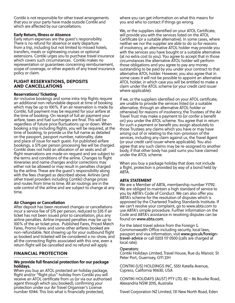Contiki is not responsible for other travel arrangements that you or your party have made outside Contiki and which are affected by our cancellations.

# Early Return, Illness or Absence

Early return expenses are the guest's responsibility. There is no refund for absence or early departure from a trip, including but not limited to missed hotels, transfers, meals or sightseeing cruises or optional extensions. Contiki urges you to purchase travel insurance which covers such circumstances. Contiki makes no representation or guarantees concerning reimbursement, scope of coverage, or other aspects of any travel insurance policy or claim.

# FLIGHT RESERVATIONS, DEPOSITS AND CANCELLATIONS

# Reservations/ Ticketing

Air-inclusive bookings and some intra-trip flights require an additional non-refundable deposit at time of booking which may be up to 100%. If an air reservation is made by Contiki, full payment may be required for your airfare at the time of booking. On receipt of full air payment your airfare, taxes and fuel surcharges are final. This will be regardless of future price fluctuations up or down. When booking a trip including flights, you will be required, at the time of booking, to provide us the full name as detailed on the passport, passport number, nationality, date and place of issue for each guest. For published airfare bookings, a \$75 per person processing fee will be charged. Contiki does not hold an allocation of air seats and all flight reservations are made on request and are subject to the terms and conditions of the airline. Changes to flight itineraries and name changes and/or corrections may either not be allowed or may result in penalties charged by the airline. These are the guest's responsibility along with the fees charged as described above. Airlines (and other travel providers including Contiki) change prices and routes from time to time. All air routings are in the sole control of the airline and are subject to change at any time.

# Air Changes or Cancellation

100% of the air ticket price. Published Fares, Priced Match After deposit has been received changes or cancellations incur a service fee of \$75 per person, reduced to \$35 if air ticket has not been issued prior to cancellation, plus any airline penalties. Airline imposed penalties may be up to Fares, Promo Fares and some other airfares booked are non-refundable. Not showing up for your outbound flight as booked and ticketed will be considered a no-show, and all the connecting flights associated with this one, even a return flight will be cancelled and no refund will apply.

# FINANCIAL PROTECTION

# We provide full financial protection for our package holidays.

When you buy an ATOL protected air holiday package, flight and/or "flight plus" holiday from Contiki you will receive an ATOL certificate from us (or via our authorised agent through which you booked), confirming your protection under our Air Travel Organiser's License number 10144. This lists what is financially protected,

where you can get information on what this means for you and who to contact if things go wrong.

We, or the suppliers identified on your ATOL Certificate, will provide you with the services listed on the ATOL Certificate (or a suitable alternative). In some cases, where neither we nor the supplier are able to do so for reasons of insolvency, an alternative ATOL holder may provide you with the services you have bought or a suitable alternative (at no extra cost to you). You agree to accept that in those circumstances the alternative ATOL holder will perform those obligations and you agree to pay any money outstanding to be paid by you under your contract to that alternative ATOL holder. However, you also agree that in some cases it will not be possible to appoint an alternative ATOL holder, in which case you will be entitled to make a claim under the ATOL scheme (or your credit card issuer where applicable).

If we, or the suppliers identified on your ATOL certificate, are unable to provide the services listed (or a suitable alternative, through an alternative ATOL holder or otherwise) for reasons of insolvency, the Trustees of the Air Travel Trust may make a payment to (or confer a benefit on) you under the ATOL scheme. You agree that in return for such a payment or benefit you assign absolutely to those Trustees any claims which you have or may have arising out of or relating to the non-provision of the services, including any claim against us, the Travel Agent (or your credit card issuer where applicable). You also agree that any such claims may be re-assigned to another body, if that other body has paid sums you have claimed under the ATOL scheme.

When you buy a package holiday that does not include a flight, protection is provided by way of a bond held by ABTA.

# ABTA STATEMENT

We are a Member of ABTA, membership number Y1792. We are obliged to maintain a high standard of service to you by ABTA's Code of Conduct. We can also offer you ABTA's scheme for the resolution of disputes which is approved by the Chartered Trading Standards Institute. If we can't resolve your complaint, go to www.abta.com to use ABTA's simple procedure. Further information on the Code and ABTA's assistance in resolving disputes can be found on **www.abta.com**.

For the latest travel advice from the Foreign & Commonwealth Office including security, local laws, passport and visa information, visit **www.gov.uk/foreigntravel-advice** or call 0203 117 0500 (calls are charged at local rate).

# **Operators:**

Contiki Holidays Limited, Travel House, Rue du Manoir, St Peter Port, Guernsey, GY1 2JH

CONTIKI (US) HOLDINGS INC, 5551 Katella Avenue, Cypress, California 90630, USA

CONTIKI HOLIDAYS (AUST) PTY LTD, 82 – 86 Bourke Road, Alexandria NSW 2015, Australia

Travel Corporation NZ Limited, 131 New North Road, Eden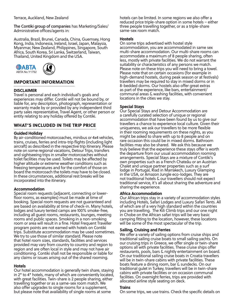# Terrace, Auckland, New Zealand

**The Contiki group of companies** has Marketing/Sales/ Administrative offices/agents in:

Australia, Brazil, Brunei, Canada, China, Guernsey, Hong Kong, India, Indonesia, Ireland, Israel, Japan, Malaysia, Myanmar, New Zealand, Philippines, Singapore, South Africa, South Korea, Sri Lanka, Switzerland, Taiwan, Thailand, United Kingdom and the USA.





# IMPORTANT INFORMATION

# DISCLAIMER

Travel is personal and each individual's goals and experiences may differ. Contiki will not be bound by, or liable for, any description, photograph, representation or warranty made by or provided by any independent third party sales representative, Travel Agent, or other person or entity relating to any holiday offered by Contiki.

# WHAT'S INCLUDED IN THE TRIP PRICE

# Guided Holiday

By air-conditioned motorcoaches, minibus or 4x4 vehicles, trains, cruises, ferries and intra-trip flights (including light aircraft) as described in the respective trip itinerary. Please note on some regional vacations, Detour Trips, transfers and sightseeing trips in smaller motorcoaches without toilet facilities may be used. Toilets may be affected by higher altitude or extreme weather conditions such as freezing temperatures and for the comfort of those on board the motorcoach the toilets may have to be closed. In these circumstances, additional rest breaks will be incorporated into the itinerary.

# Accommodation

room or area will result in a fine. Hotel Frequent Traveller Special room requests (adjacent, connecting or lowerfloor rooms, as examples) must be made at time of booking. Special room requests are not guaranteed and are based on availability at time of check-in. Many hotels, lodges and luxury tented camps are 100% smoke-free, including all guest rooms, restaurants, lounges, meeting rooms and public spaces. Smoking in a non-smoking program points are not earned with hotels on Contiki trips. Substitute accommodation may be used sometimes. We try to use those of similar standard. Please note that hotel room sizes, standards, facilities and services provided may vary from country to country and region to region and are often local in style and may not have air conditioning. Contiki shall not be responsible or liable for any claims or issues arising out of the shared rooming.

#### Hotels

Our hotel accommodation is generally twin share, staying in 2\* to 4\* hotels, many of which are conveniently located, with great facilities. Twin-share is 2 people sharing, either travelling together or as a same-sex room match. We also offer upgrades to single rooms for a supplement, but please note that availability of single rooms at some

hotels can be limited. In some regions we also offer a reduced price triple-share option in some hotels – either three people travelling together, or as a triple-share same-sex room match.

# **Hostels**

On some trips advertised with hostel style accommodation, you are accommodated in same sex multi-share accommodation. Our multi-share rooms can accommodate a maximum of 8 people sharing, often less, mostly with private facilities. We do not warrant the suitability or characteristics of any persons we match. Please note on these trips you will need to bring a towel. Please note that on certain occasions (for example in high-demand hostels, during peak season or at festivals) travellers may be required to stay in mixed dorms or in 8-bedded dorms. Our hostels also offer great extras as part of the experience, like bars, entertainment/ communal areas & washing facilities, with convenient locations in the cities we stay.

# Special Stays

Our Special Stays and Detour Accommodation are a carefully curated selection of unique or regional accommodation that have been found by us to give our travellers a chance to experience local culture. Given their uniqueness, we ask our travellers to be more flexible in their rooming requirements on these nights, as you might be asked to share with up to 8 people and on rare occasion this could be in mixed dorms. Bathroom facilities may also be shared. We ask this because we truly believe that the experience these stays offer is worth the departure from our usual accommodation rooming arrangements. Special Stays are a mixture of Contiki's own properties such as a French Chateâu or an Austrian Chalet and unique partner properties such as a surf lodge in Portugal, Riad in Marrakech, Luxury Glamping in the USA, or Amazon Jungle eco-lodges. They are not traditional hotels & our travellers should not expect traditional service, it's all about sharing the adventure and sharing the experience.

#### Africa Accommodation

Our African trips stay in a variety of accommodation styles including Hotels, Safari Lodges and Luxury Safari Tents. All of which are of a very high standard within the countries you are travelling. The Kili Climb trips and our one night in Chobe on the African safari trips will be very basic camping fitting to the location, however, these locations will be some of the most spectacular of the trip.

# Sailing, Cruising and Ferries

We offer a variety of sailing options from cruise ships and traditional sailing cruise boats to small sailing yachts. On our cruising trips in Greece, we offer single or twin-share options all with private facilities. These cruise ships offer restaurants, pools, bars & nightly entertainment on board. On our traditional sailing cruise boats in Croatia travellers will be in twin-share cabins with private facilities. These boats feature a dining room, bar & sundecks. On our traditional gulet in Turkey, travellers will be in twin-share cabins with private facilities or on occasion communal facilities. On overnight ferries, trips are provided with allocated airline style seating on deck.

#### **Trains**

On some trips, we use trains. Check the specific details on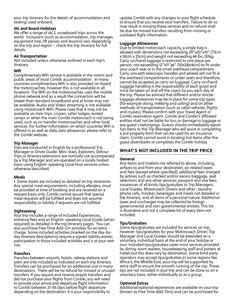your trip itinerary for the details of accommodation and seating used onboard.

# Ski and Board Holidays

We offer a range of ski & snowboard trips across the world. Inclusions (such as accommodation, trip manager, equipment hire, lift passes and lessons) vary depending on the trip and region – check the trip itinerary for full details.

# Air Transportation

Not included unless otherwise outlined in each trip's itinerary.

# Wifi

Complimentary WiFi service is available in the rooms and public areas of most Contiki accommodation . In many countries complimentary WiFi is also provided on-board the motorcoaches, however this is not available in all locations. The WiFi on the motorcoaches uses the mobile phone network and as a result the connection will be slower than standard broadband and at times may not be available. Audio and Video streaming is not available using motorcoach WiFi. Please note that it may not be available on train trips, cruises, safari lodges, tented camps or when the main Contiki motorcoach is not being used, such as on transfer motorcoaches and other local services. For further information on which countries WiFi is offered in as well as daily data allowances please refer to the Contiki website.

# Trip Manager

Trips are conducted in English by a professional Trip Manager or Driver Guide. Mini-stays, Explorers, Detour Trips or itinerary extensions are normally not accompanied by a Trip Manager and are operated on a locally hosted basis using English-speaking Local Host services unless otherwise described.

# Meals

1. Some meals are included as detailed on trip itineraries. Any special meal requirements, including allergies, must be provided at time of booking and are received on a request basis only. Contiki cannot assure that special meal requests will be fulfilled and does not assume responsibility or liability if requests are not fulfilled.

# **Sightseeing**

required) as detailed in the trip itinerary pages. You can Your trip includes a range of Included Experiences, entrance fees and an English-speaking Local Guide (when also purchase Free Time Add-On activities for an extra charge. Some included activities (marked on the day-byday itinerary descriptions) require a signed liability waiver; participation in those included activities and is at your own risk.

# **Transfers**

Transfers between airports, hotels, railway stations and piers are only included as indicated on each trip itinerary. Transfers can be purchased for an additional cost in many destinations. There will be no refund for missed or unused transfers. If you require and reserve airport transfers and did not purchase your flights from Contiki, you will need to provide your arrival and departure flight information to Contiki between 21-65 days before flight departure depending on the destination. It is your responsibility to

update Contiki with any changes to your flight schedule to ensure that you receive your transfers. Failure to do so may result in missing these services and no refund shall be due for missed transfers resulting from missing or outdated flight information.

# Luggage Allowances

Due to limited motorcoach capacity, a single bag is allowed with dimensions not exceeding 29"x20"x10" (73cm x 50cm x 25cm) and weight not exceeding 44 lbs./20kg. Carry-on/hand luggage is restricted to one piece per person, not exceeding 12"x11"x6" (30x28x14cm) to fit under your coach seat or in the small overhead compartment. Carry-ons with telescopic handles and wheels will not fit in the overhead compartments or under seats and therefore, cannot be accepted as carry-on luggage. Carry-on/hand luggage handling is the responsibility of each guest and must be taken on and off the coach by you each day of the trip. Please be advised that different and/or stricter luggage allowances may be in place for some trip types (for example skiing, trekking and sailing) and on other methods of transportation (such as safari vehicles, flights and cruises). Please confirm with your Travel Agent or Contiki reservation agent. Contiki and Contiki's affiliated entities shall not be liable for loss or damage to luggage or any guest's belongings. Guests should immediately report lost items to the Trip Manager who will assist in completing a lost property form that can be used for an insurance claim. Contiki cannot assist in locating lost items after the guest disembarks or completes the Contiki holiday.

# WHAT'S NOT INCLUDED IN THE TRIP PRICE

# **General**

Any items and matters not referred to above, including, airfares to and from your destination, air-related taxes and fees (except where specified); additional fees charged by airlines such as checked and/or excess baggage, seat selections and any other services; passport and visa fees; insurances of all kinds; tips/gratuities to Trip Managers, Local Guides, Motorcoach Drivers and other ; laundry; phone calls; minibar; beverages and meals not detailed in the itinerary; and all items of a personal nature. Additional taxes and surcharges may be collected by foreign governmental and non-governmental entities. This list is illustrative and not a complete list of every item not included.

# Tips/Gratuities

Some tips/gratuities are included for services on trip, however tips/gratuities for your Motorcoach Driver, Trip Manager and Local Guides should be extended on a voluntary, individual basis at the end of your holiday or tour. Included tips/gratuities cover most services provided by dining-room waiters, housekeeping staff and porters at hotels but this does vary by destination. Some third party operators may accept tips/gratuities.In some regions like Africa & the Middle East, your trip will be supported by extra staff to ensure the smooth running of the trip. These tips are not included in your trip and can be done so on a voluntary basis, either individually or as a group.

# Optional Extras

Additional/optional experiences are available on your trip (known as Free Time Add-Ons) and can be purchased for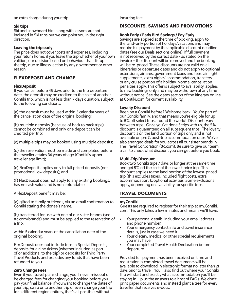an extra charge during your trip.

#### Ski trips

Ski and snowboard hire along with lessons are not included in Ski trips but we can point you in the right direction.

#### Leaving the trip early

The price does not cover costs and expenses, including your return home, if you leave the trip whether of your own volition, our decision based on behaviour that disrupts the trip, due to illness, action by any government or other reason.

# FLEXDEPOSIT AND CHANGE

#### **FlexDeposit**

If you cancel before 45 days prior to the trip departure date, the deposit may be credited to the cost of another Contiki trip, which is not less than 7 days duration, subject to the following conditions:

(a) the deposit must be used within 5 calendar years of the cancellation date of the original booking;

(b) multiple deposits (because of back to back trips) cannot be combined and only one deposit can be credited per trip;

(c) multiple trips may be booked using multiple deposits;

(d) the reservation must be made and completed before the traveller attains 36 years of age (Contiki's upper traveller age limit);

(e) FlexDeposit applies only to full priced deposits (not promotional low deposits); and

(f) FlexDeposit does not apply to any existing bookings, has no cash value and is non-refundable.

A FlexDeposit benefit may be:

(a) gifted to family or friends, via an email confirmation to Contiki stating the donee's name,

(b) transferred for use with one of our sister brands (see ttc.com/brands) and must be applied to the reservation of a trip,

within 5 calendar years of the cancellation date of the original booking.

FlexDeposit does not include trips in Special Deposits, deposits for airline tickets (whether included as part of or additional to the trip) or deposits for Third Party Travel Products and excludes any funds that have been refunded to you.

#### Zero Change Fees

Even if your travel plans change, you'll never miss out or be charged fees for changing your booking before you pay your final balance, if you want to change the dates of your trip, swap onto another trip or even change your trip for a different region entirely, that's all possible, without

incurring fees.

# DISCOUNTS, SAVINGS AND PROMOTIONS

#### Book Early / Early Bird Savings / Pay Early

Savings are applied at the time of booking, apply to the land-only portion of holidays/vacations and may require full payment by the applicable discount deadline dates (see our Deals sections online). If full payment is not received by the correct date - as stated on the invoice – the discount will be removed and the booking will be re-priced. These discounts are not valid on all itineraries or departure dates and do not apply to optional extensions, airfares, government taxes and fees, air flight supplements, extra nights' accommodation, transfers or any cruise portion of a holiday. Normal cancellation penalties apply. This offer is subject to availability, applies to new bookings only and may be withdrawn at any time without notice. See the dates section of the itinerary online at Contiki.com for current availability.

#### Loyalty Discount

Been on a Contiki before? Welcome back! You're part of our Contiki family, and that means you're eligible for up to 5% off select trips around the world! Discounts vary between trips. Once you've done 5 trips with us, the 5% discount is guaranteed on all subsequent trips. The loyalty discount is on the land portion of trips only and is not available on pre & post-trip accommodation rates. We've also arranged deals for you across all our sister brands in The Travel Corporation (ttc.com). Be sure to give our team a call to check what discount you can get before you book.

#### Multi-Trip Discount

Book two Contiki trips 7 days or longer at the same time and get 5% off the cost of the lowest price trip. This discount applies to the land portion of the lowest-priced trip (this excludes taxes, included flight costs, extra accommodation, & optional activities. Some exclusions apply, depending on availability for specific trips.

# TRAVEL DOCUMENTS

#### myContiki

Guests are required to register for their trip at my.Contiki. com. This only takes a few minutes and means we'll have:

- Your personal details, including your email address and phone number.
- Your emergency contact info and travel insurance details, just in case we need it.
- Your dietary, medical or other special requirements you may have.
- Your completed Travel Health Declaration before departure.

Provided full payment has been received on time and registration is completed, travel documents will be available to download in electronic format no later than 21 days prior to travel. You'll also find out where your Contiki Trip will start and exactly what accommodation you'll be staying in – plus the answers to a host of FAQs. We don't print paper documents and instead plant a tree for every traveller that receives e-docs.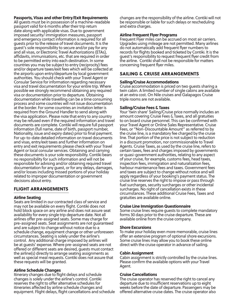# Passports, Visas and other Entry/Exit Requirements

All guests must be in possession of a machine-readable passport valid for 6 months after their trip return date along with applicable visas. Due to government imposed security/ immigration measures, passport and emergency contact information is required for all guests prior to the release of travel documents. It is the guest's sole responsibility to secure and/or pay for any and all visas, or Electronic Travel Authorizations (ETAs), affidavits, immunisations, etc. that are required in order to be permitted entry into each destination. In some countries you may be subject to entry (reciprocity) fees and/or departure taxes/exit fees which will be collected at the airports upon entry/departure by local government authorities. You should check with your Travel Agent or Consular Service for information regarding necessary visa and travel documentation for your entire trip. Where possible we strongly recommend obtaining any required visa or documentation prior to departure. Obtaining documentation while travelling can be a time consuming process and some countries will not issue documentation at the border. For some countries an invitation letter is required from the Ground Handler to send along with the visa application. Please note that entry to any country may be refused even if the required information and travel documents are complete. Contiki will require full passport information (full name, date of birth, passport number, Nationality, issue and expiry dates) prior to final payment. For up-to-date detailed information on travel documents and visas, entry/exit taxes and further information on entry and exit requirements please check with your Travel Agent or local consular services. Obtaining and carrying these documents is your sole responsibility. Contiki bears no responsibility for such information and will not be responsible for advising and/or obtaining required travel documentation for any guest, or for any delays, damages, and/or losses including missed portions of your holiday related to improper documentation or government decisions about entry.

# FLIGHT ARRANGEMENTS

#### Airline Seating

pre-assigned seats. Seat assignments are not guaranteed Seats are limited in our contracted class of service and may not be available on every flight. Contiki does not hold block space on any airline and does not assure seat availability for every single trip departure date. Not all airlines offer pre-assigned seats. Some may charge for and are subject to change without notice due to a schedule change, equipment change or other unforeseen circumstances. Seating is solely under the airline's control. Any additional charge imposed by airlines will be at guests' expense. Where pre-assigned seats are not offered or different seats are desired, guests must contact the airline(s) directly to arrange seating assignments as well as special meal requests. Contiki does not assure that these requests will be granted.

#### Airline Schedule Changes

Itinerary changes due to flight delays and schedule changes is solely under the airline's control. Contiki reserves the right to offer alternative schedules for itineraries affected by airline schedule changes and equipment. Flight delays, flight cancellations and schedule changes are the responsibility of the airline. Contiki will not be responsible or liable for such delays or rescheduling and extra charges.

#### Airline Frequent Flyer Programs

Frequent Flyer miles can be accrued on most air carriers. Upgrades using mileage are not permitted. Many airlines do not automatically add frequent flyer numbers to records for flights booked and ticketed by Contiki. It is the guest's responsibility to request frequent flyer credit from the airline. Contiki shall not be responsible for matters concerning frequent flyer miles.

# SAILING & CRUISE ARRANGEMENTS

#### Sailing/Cruise Accommodations

Cruise accommodation is priced on two guests sharing a twin cabin. A limited number of single cabins are available at an extra cost. On Nile cruises and Galapagos Cruise triple rooms are not available.

#### Sailing/Cruise Fees & Taxes

Your 'twin share' Sailing/Cruise price normally includes an amount covering Cruise Fees & Taxes, and all gratuities to on board cruise personnel. This can be confirmed with your Travel Agent or Online Sales Representative. Cruise Fees, or "Non-Discountable Amount" as referred to by the cruise line, is a mandatory fee charged by the cruise line. That portion of the price is not subject to reduction in a discount promotion, nor commissionable to Travel Agents. Cruise Taxes, as used by the cruise line, refers to certain taxes, fees and charges imposed by governments or quasi-government authorities, relating to any aspect of your cruise, for example, customs fees, head taxes, inspection fees, immigration and naturalization fees, harbour maintenance fees and taxes. Government fees and taxes are subject to change without notice and will apply regardless of your booking's payment status. The cruise line reserves the right to impose or pass through fuel surcharges, security surcharges or other incidental surcharges. No right of cancellation exists in these circumstances. These additional Cruise Fees, Taxes and gratuities are available online.

#### Cruise Line Immigration Questionnaire

Some cruise lines require guests to complete mandatory forms 30 days prior to the cruise departure. These are available online from the cruise company.

#### Shore Excursions

To make your holiday even more memorable, cruise lines offer an extensive program of optional shore excursions. Some cruise lines may allow you to book these online direct with the cruise operator in advance of sailing.

#### Cabin Assignment

Cabin assignment is strictly controlled by the cruise lines. Please confirm the available options with your Travel Agent.

#### Cruise Cancellations

The cruise operator has reserved the right to cancel any departure due to insufficient reservations up to eight weeks before the date of departure. Passengers may be offered alternative cruise dates. The cruise operator also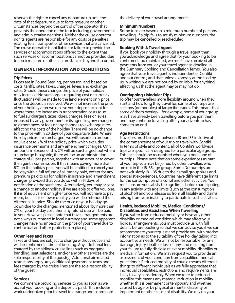reserves the right to cancel any departure up until the date of that departure due to force majeure or other circumstances beyond the control of the operator that prevents the operation of the tour including governmental and administrative decisions. Neither the cruise operator nor its agents are responsible for any costs or penalties relating to air transport or other services that are cancelled. The cruise operator is not liable for failure to provide the services or accommodations offered to the extent that such services of accommodations cannot be provided due to force majeure or other circumstances beyond its control.

# GENERAL INFORMATION AND CONDITIONS

# Trip Prices

changes have no impact on the price of your travel due to Prices are in Pound Sterling, per person, and based on costs, tariffs, rates, taxes, charges, levies and exchange rates. Should these change, the price of your holiday may increase. No surcharges regarding cost or currency fluctuations will be made to the land element only price once the deposit is received. We will not increase the price of your holiday after we receive your deposit except for where there are increases in transportation costs (due to fuel surcharges), taxes, dues, charges, fees or levies imposed by any government or its agencies, any changes to airport taxes or fees or any changes to exchange rates affecting the costs of the holiday. There will be no change to the price within 20 days of your departure date. Where holiday prices are surcharged, we will absorb an amount equivalent to 2% of the holiday price which excludes insurance premiums and any amendment charges. Only amounts in excess of this 2% will be surcharged, but where a surcharge is payable, there will be an administration charge of £1 per person, together with an amount to cover the agent's commission. If this means paying more than 8% on the holiday price, you will be entitled to cancel your holiday with a full refund of all money paid, except for any premium paid to us for holiday insurance and amendment charges, provided that you do so within 14 days of notification of the surcharge. Alternatively, you may accept a change to another holiday if we are able to offer you one. If it is of equivalent or higher price you will not have to pay more, but if it is of lower quality you will be refunded the difference in price. Should the price of your holiday go down due to the changes mentioned above, by more than 2% of your holiday cost, then any refund due will be paid to you. However, please note that travel arrangements are not always purchased in local currency and some apparent contractual and other protection in place.]

# Other Fees and Taxes

Taxes and fees are subject to change without notice and will be confirmed at time of booking. Any additional fees charged by the airlines/ cruise lines such as baggage handling, seat selections, and/or any other services are the sole responsibility of the guest(s). Additional air-related restrictions apply. Any additional government taxes and fees charged by the cruise lines are the sole responsibility of the guest.

# **Services**

We commence providing services to you as soon as we accept your booking and a deposit is paid. This includes work undertaken prior to travel to arrange and coordinate the delivery of your travel arrangements.

# Minimum Numbers

Some trips are based on a minimum number of persons travelling. If a trip fails to satisfy minimum numbers, the trip may be cancelled or rescheduled.

# Booking With A Travel Agent

If you book your holiday through a travel agent then you acknowledge and agree that for your booking to be confirmed and maintained, we must have received all payments from you or your travel agent as detailed in the Summary Booking and Cancellation Terms. You also agree that your travel agent is independent of Contiki and our control; and that unless expressly authorised by us in writing, we are not bound by or liable for anything affecting us that the agent may or may not do.

# Overlapping / Modular Trips

To offer our travellers more flexibility around when they start and how long they travel for, some of our trips are sections (or modules) of larger itineraries. This means that some of them overlap – for example, some of your group may have already been travelling before you join them, and may continue travelling after your adventure has come to an end.

# Age Restrictions

Travellers must be aged between 18 and 35 inclusive at the commencement of your trip to travel with Contiki. In terms of style and content, all of Contiki's worldwide trips are specifically designed for a particular age group. This fact should be recognised when you book one of our trips. Please note that on some experiences as part of your trip you may be joined by other travellers who are not in the 18-35 age group. Some Detour trips are not exclusively 18 – 35 due to their small group sizes and specialist experiences. Countries have different age limits for the consumption of alcohol and other activities. You must ensure you satisfy the age limits before participating in any activity with age limits (such as the consumption of alcohol) and you release us from all liability and claims arising from your inability to participate in such activities.

# Health, Reduced Mobility, Medical Conditions/ Disabilities and Assistance When Travelling

If you suffer from reduced mobility or have any other disability or medical condition which may affect your holiday arrangements, you must provide us with full details before booking so that we can advise you if we can accommodate your request and provide you with precise information as to the suitability of the holiday taking into account your needs. We will not be responsible for any damage, injury, death or loss of any kind resulting from your failure to fully disclose relevant mobility, disability or medical information. We may request you to provide an assessment of your condition from a qualified medical practitioner. Reduced mobility of course means different things to different individuals as we fully appreciate that individual capabilities, restrictions and requirements are likely to vary considerably. When we refer to reduced mobility, this means any material reduction in mobility whether this is permanent or temporary and whether caused by age or by physical or mental disability or impairment or other cause of disability. We rely on your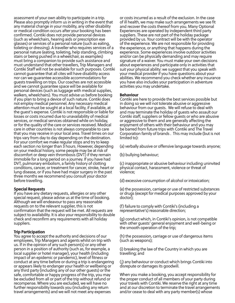assessment of your own ability to participate in a trip. Please also promptly inform us in writing in the event that any material change in your mobility, any other disability or medical condition occurs after your booking has been confirmed. Contiki does not provide personal devices (such as wheelchairs, hearing aids or prescription eye glasses) or services of a personal nature (such as eating, toileting or dressing). A traveller who requires services of a personal nature (eating, toileting, help standing, climbing stairs or being pushed in a wheelchair, as examples) must bring a companion to provide such assistance and must understand that other travellers, Trip Managers and Contiki Staff will not be available for such purposes. Contiki cannot guarantee that all cites will have disability access nor can we guarantee accessible accommodations for guests travelling on trips. Our coaches are not accessible and we cannot guarantee space will be available for personal devices (such as luggage with medical supplies, walkers, wheelchairs). You must advise us before booking if you plan to bring a device of such nature. Contiki does not employ medical personnel. Any necessary medical attention must be sought at a local facility, if available, at the guest's expense. Contiki is not responsible or liable for losses or costs incurred due to unavailability of medical services, or medical services obtained while on holiday, or for the quality of the care or services received. Medical care in other countries is not always comparable to care that you may receive in your local area. Travel times on our trips vary from day to day depending on the destination. For your comfort we make regular stops and try to keep each section no longer than 3 hours. However, depending on your medical history, some people may be at risk of discomfort or deep vein thrombosis (DVT) if they remain immobile for a long period on a journey. If you have had DVT, pulmonary embolism, a family history of clotting conditions, cancer, or treatment for cancer, stroke, heart or lung disease, or if you have had major surgery in the past three months we recommend you consult your doctor before travelling.

# Special Requests

If you have any dietary requests, allergies or any other special request, please advise us at the time of booking. Although we will endeavour to pass any reasonable requests on to the relevant supplier, this is not confirmation that the request will be met. All requests are subject to availability. It is also your responsibility to double check and reconfirm any requirements with all holiday suppliers.

# Trip Participation

You agree to accept the authority and decisions of our employees, Trip Managers and agents whilst on trip with us. If in the opinion of any such person(s) or any other person in a position of authority (such as, for example, a local supplier or hotel manager), your health (including impact of an epidemic or pandemic), level of fitness or conduct at any time before or during a trip is endangering or appears likely to endanger your health or wellbeing or any third party (including any of our other guests) or the safe, comfortable or happy progress of the trip, you may be excluded from all or part of the trip without refund or recompense. Where you are excluded, we will have no further responsibility towards you (including any return travel arrangements) and we will not meet any expenses

or costs incurred as a result of the exclusion. In the case of ill health, we may make such arrangements we see fit and recover the costs thereof from you. Many Optional Experiences are operated by independent third party suppliers. These are not part of the holiday package provided by us. Your contract will be with the operator of the experience. We are not responsible for providing the experience, or anything that happens during the experience. Some experiences involve outdoor activities and/or can be physically demanding and may require signature of a waiver. You must make your own decisions about experiences and participate only in activities that suit your physical ability: we suggest that you speak with your medical provider if you have questions about your abilities. We recommend you check whether any insurance you have also includes your participation in adventure activities you may undertake.

# Behaviour

Contiki are here to provide the best services possible but in doing so we will not tolerate abusive or aggressive behaviour from our guests. We will refuse to deal with and may terminate the holiday of guests who assault our Contiki staff, suppliers or fellow guests or who are abusive or aggressive to them and are generally affecting the enjoyment of others with their behaviour and you may be barred from future trips with Contiki and The Travel Corporation family of brands . This may include (but is not limited to):

(a) verbally abusive or offensive language towards anyone;

(b) bullying behaviour;

(c) inappropriate or abusive behaviour including uninvited physical contact, harassment, violence or threat of violence;

(d) excessive consumption of alcohol or intoxication;

(e) the possession, carriage or use of restricted substances or drugs (except for medical purposes approved by your doctor);

(f) failure to comply with Contiki's (including a representative's) reasonable direction;

(g) conduct which, in Contiki's opinion, is not compatible with other guests' general enjoyment and well-being or the smooth operation of the trip;

(h) the possession, carriage or use of dangerous items (such as weapons);

(i) breaking the law of the Country in which you are travelling; and

(j) any behaviour or conduct which brings Contiki into disrepute or damages its goodwill.

When you make a booking, you accept responsibility for the proper conduct of all members of your party during your travels with Contiki. We reserve the right at any time and at our discretion to terminate the travel arrangements and/or cease to deal with any party member(s) whose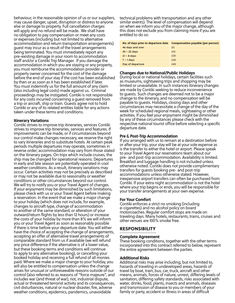behaviour, in the reasonable opinion of us or our suppliers, may cause danger, upset, disruption or distress to anyone else or damage to property. Full cancellation charges will apply and no refund will be made. We shall have no obligation to pay compensation or meet any costs or expenses (including but not limited to alternative accommodation and return transportation arrangements) guest may incur as a result of the travel arrangements being terminated. You must immediately report any pre-existing damage in your room to accommodation staff and/or a Contiki Trip Manager. If you damage the accommodation in which you are staying or any property, you must reimburse the accommodation provider or property owner concerned for the cost of the damage before the end of your stay if the cost has been established by then or as soon as it has been established if later. You must indemnify us for the full amount of any claim (also including legal costs) made against us. Criminal proceedings may be instigated. Contiki is not responsible for any costs incurred concerning a guest removed from a trip or aircraft, ship or train. Guests agree not to hold Contiki or any of its related entities liable for any actions taken under these terms and conditions.

# Itinerary Variations

you or your Travel Agent as soon as reasonably possible Contiki strives to improve trip itineraries, services Contiki strives to improve trip itineraries, services and features. If improvements can be made, or if circumstances beyond our control make changes necessary, we reserve the right to vary itineraries and to substitute hotels. At certain peak periods multiple departures may operate, sometimes in reverse order; accommodation may vary from those stated on the itinerary pages. On trips which include cruises, the ship may be changed for operational reasons. Departures in early and late season are potentially operated in cool weather conditions. As a result, itinerary variations may occur. Certain activities may not be precisely as described or may not be available due to seasonality or weather conditions or other circumstances beyond our control. We will try to notify you or your Travel Agent of changes. If your enjoyment may be diminished by such limitations, please check with us or your Travel Agent before making a reservation. In the event that we make a major change to your holiday (which does not include, for example, changes to aircraft type, change of accommodation to another of the same standard, or alteration of your outward/return flights by less than 12 hours) or increase the costs of your holiday by more than 8% we will inform if there is time before your departure date. You will either have the choice of accepting the change of arrangements, accepting an offer of alternative travel arrangements of comparable standard from us if available (we will refund any price difference if the alternative is of a lower value, but these booking terms and conditions will continue to apply to any alternative booking), or cancelling your booked holiday and receiving a full refund of all monies paid. Where we make a major change to your holiday, you will also be entitled to compensation unless the change arises for unusual or unforeseeable reasons outside of our control (also referred to as reasons of "force majeure", and includes war (and threat of war), riot, industrial dispute, actual or threatened terrorist activity and its consequences, civil disturbances, natural or nuclear disaster, fire, adverse weather conditions, epidemics, pandemics, unavoidable

technical problems with transportation and any other similar events). The level of compensation will depend on when we inform you of the major change, although this does not exclude you from claiming more if you are entitled to do so:

| No. of days prior to departure date | Compensation payable (per person) |
|-------------------------------------|-----------------------------------|
| 46 days and over                    | £0                                |
| $45 - 22$ days                      | £10                               |
| $21 - 8$ days                       | £20                               |
| $7 - 1$ days                        | £30                               |
| Day of departure                    | £40                               |

# Changes due to National/Public Holidays

During local or national holidays, certain facilities such as museums, sightseeing trips and shopping may be limited or unavailable. In such instances itinerary changes are made by Contiki seeking to reduce inconvenience to guests. Such changes are deemed not to be a major change to the itinerary, and no compensation will be payable to guests. Holidays, closing days and other circumstances may necessitate a change of the day of the week for scheduled regional meals, sightseeing or other activities. If you feel your enjoyment might be diminished by any of these circumstances please check with the respective national tourist office before selecting a specific departure date.

# Pre & Post-Trip Accommodation

If you arranged with us to remain at a destination before or after your trip, your stay will be at your sole expense as is the transfer to either the hotel or airport. Please speak to your Travel Agent our reservations team about our pre- and post-trip accommodation. Availability is limited. Breakfast and luggage handling is not included unless otherwise noted. Contiki does not provide complimentary transfers for guests booking pre- and post-trip accommodations unless otherwise stated. However, inexpensive airport transfers can often be purchased from Contiki. If your extra night accommodation is not the hotel where your trip begins or ends, you will be responsible for your transfer arrangements at your own expense.

# For Your Comfort

Contiki enforces a strict no smoking (including e-cigarettes) and no alcohol policy on board motorcoaches. Regular comfort stops are made on traveling days. Many hotels, restaurants, trains, cruises and other venues are 100% smoke free.

# RESPONSIBILITY

# Complete Agreement

These booking conditions, together with the other terms incorporated into this contract referred to below, represent the entire agreement between the parties.

# Additional Risks

Additional risks may arise including, but not limited to, hazards of traveling in undeveloped areas, hazards of travel by boat, train, bus, car, truck, aircraft and other means, animals, forces of nature, unrest, differing levels of sanitation, differing safety standards, risks associated with water, drinks, food, plants, insects and animals, diseases and transmission of disease to you or members of your family or party, accident or illness in areas of difficult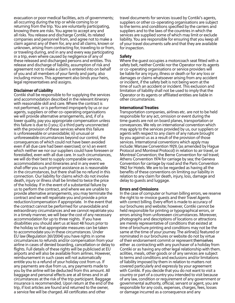evacuation or poor medical facilities, acts of governments; all occurring during the trip or while coming to or returning from the trip. You are voluntarily participating, knowing there are risks. You agree to accept any and all risks. You release and discharge Contiki, its related companies and personnel from, and agree not to make a claim against any of them for, any and all claims, known or unknown, arising from contracting for, traveling to or from, or traveling during, and in any and every way participating in a trip, even where caused by negligence of any of these released and discharged persons and entities. This release and discharge of liability, assumption of risk and agreement not to make a claim is entered into on behalf of you and all members of your family and party, also including minors. This agreement also binds your heirs, legal representatives and assigns.

# Disclaimer of Liability

disabilities you should alert us at least 48 hours prior to Contiki shall be responsible to for supplying the services and accommodation described in the relevant itinerary with reasonable skill and care. Where the contract is not performed, or is performed improperly by us or our agents, suppliers or other co-operating organisations we will provide alternative arrangements, and, if of a lower quality, pay you appropriate compensation unless this failure is due to i) you; ii) a third party unconnected with the provision of these services where this failure is unforeseeable or unavoidable; iii) unusual or unforeseeable circumstances beyond our control, the consequences of which could not have been avoided even if all due care had been exercised; or iv) an event which neither we nor our suppliers could have foreseen or forestalled, even with all due care. In such circumstances, we will do their best to supply comparable services, accommodations and itineraries and in any event we shall offer you such prompt assistance as is reasonable in the circumstances, but there shall be no refund in this connection. Our liability for claims which do not involve death, injury or illness shall be limited to twice the price of the holiday. If in the event of a substantial failure by us to perform the contract, and where we are unable to provide alternative arrangements, you may terminate the contract and we will repatriate you and provide a price reduction/compensation if appropriate. In the event that the contract cannot be performed for unavoidable and extraordinary circumstances and we cannot repatriate you in a timely manner, we will bear the cost of any necessary accommodation for up to three nights. If you have the holiday so that appropriate measures can be taken to accommodate you in these circumstances. Under EU law (Regulation 261/2004) you have rights in some circumstances to refunds and/or compensation from your airline in cases of denied boarding, cancellation or delay to flights. Full details of these rights will be publicised at EU airports and will also be available from airlines. However, reimbursement in such cases will not automatically entitle you to a refund of your holiday cost from us. If any payments are due from us, any payments made to you by the airline will be deducted from this amount. All baggage and personal effects are at all times and in all circumstances at the risk of the trip participant. Baggage insurance is recommended. Upon return at the end of the trip, if lost articles are found and returned to the owner, a service fee will be charged. All certificates and other

travel documents for services issued by Contiki's agents, suppliers or other co-operating organisations are subject to the terms and conditions specified by the carriers and suppliers and to the laws of the countries in which the services are supplied some of which may limit or exclude liability. You are responsible for ensuring that you keep all of your travel documents safe and that they are available for inspection.

# Safety

Where the guest occupies a motorcoach seat fitted with a safety belt, neither Contiki nor the Operator nor its agents or co-operating organisations or service providers will be liable for any injury, illness or death or for any loss or damages or claims whatsoever arising from any accident or incident, if the safety belt is not being worn at the time of such an accident or incident. This exclusion and limitation of liability shall not be used to imply that the Operator or its agents or affiliated entities are liable in other circumstances.

# International Treaties

Transportation companies, airlines etc. are not to be held responsible for any act, omission or event during the time guests are not on board planes, transportation or conveyances. We rely on international convention which may apply to the services provided by us, our suppliers or agents with respect to any claim of any nature brought by you against us as a result of the provision of those services. International conventions which apply may include: Warsaw Convention 1929, (as amended by Hague Protocol and Montreal Protocol) in relation to air travel, or Montreal Convention; the Berne Convention for rail travel; Athens Convention 1974 for carriage by sea; the Geneva Convention for carriage by road and the Paris Convention 1962 for Hotels. We are to be regarded as having all the benefits of these conventions on limiting our liability in relation to any claim for death, injury, loss, damage and delay to guests and luggage.

# Errors and Omissions

In the case of computer or human billing errors, we reserve the right to re-invoice guests and their Travel Agents with correct billing. Every effort is made to accuracy of our brochures and website; however, Contiki cannot be held responsible for printing or typographical errors, or errors arising from unforeseen circumstances. Moreover, photographs and descriptions of locations or attractions are merely representative of conditions that existed at time of brochure printing and conditions may not be the same at the time of your journey. The airline(s) featured or nominated in our brochures or website do not by virtue of their endorsement commit or represent themselves either as contracting with any purchaser of a holiday from Contiki or as having any other legal relationship with them. acilities, meals, other goods or of any services are subject to terms and conditions and exclusions and/or limitations of liability imposed by them in relation to matters not covered particularly and expressly by your agreement with Contiki. If you decide that you do not want to visit a country or part of a country you intended to visit because of any law, condition or requirement of any government or governmental authority, official, servant or agent, you are responsible for any costs, expenses, charges, fees, losses or damage incurred as a consequence and any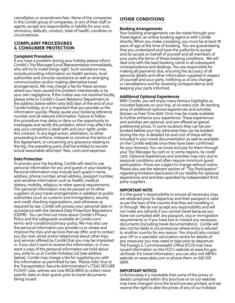cancellation or amendment fees. None of the companies in the Contiki group of companies, or any of their staff or agents, accept any responsibility or liability for your acts, omissions, defaults, conduct, state of health, condition or circumstances.

# COMPLAINT PROCEDURES & CONSUMER PROTECTION

# Complaint Procedure

If you have a problem during your holiday please inform Contiki's Trip Manager/Local Representative immediately, who will try to make things right. Such assistance may include providing information on health services, local authorities and consular assistance as well as arranging communication and/or making alternative travel arrangements. We may charge a fee for these services where you have caused the problem intentionally or by your own negligence. If the matter was not resolved locally, please write to Contiki's Guest Relations Department at the address below within sixty (60) days of the end of your Contiki holiday, as it is important that you provide us the information quickly. Please quote your booking reference number and all relevant information. Failure to follow this procedure may delay or deny us the opportunity to investigate and rectify the problem, which may affect the way your complaint is dealt with and your rights under this contract. In any legal action, arbitration, or other proceeding to enforce, interpret or construe the terms of this Agreement, or concerning any grievance relating to the trip, the prevailing party shall be entitled to recover actual reasonable attorneys' fees, costs and expenses.

# Data Protection

terms-and-conditions/privacy-policy. We may also use To process your trip booking, Contiki will need to use personal information for you and guests in your booking. Personal information may include each guest's name, address, phone number, email address, passport number, and sensitive information such as health, medical, dietary, mobility, religious or other special requirements. This personal information may be passed on to other suppliers of your travel arrangements in addition to public authorities (such as customs and immigration), security and credit checking organisations, and otherwise as required by law. Contiki will process your personal data in accordance with the General Data Protection Regulations (GDPR) . You can find out more about Contiki's Privacy Policy and the safeguards available at Contiki.com/ the personal information you provide us to review and improve the trips and services that we offer, and to contact you (by mail, email and/or telephone) about other trips and services offered by Contiki that you may be interested in. If you don't want to receive this information, or if you want a copy of the personal information we hold about you, write to us at Contiki Holidays Ltd (see address below). Contiki may charge a fee for supplying you with this information as permitted by law. Please note: Due to the Transportation Security Administration's (TSA) SECURE FLIGHT rules, airlines are now REQUIRED to collect more specific data on their guests prior to travel documents being issued.

# OTHER CONDITIONS

# Booking Arrangements

Your booking arrangements can be made through your Travel Agent, an online booking agent or with Contiki directly. When you make a booking, you must be at least 18 years of age at the time of booking. You are guaranteeing that you understand and have the authority to accept and do accept on behalf of yourself and all members of your party the terms of these booking conditions. We will deal only with the lead booking name in all subsequent correspondence and dealings. You are responsible for making all payments due, ensuring the accuracy of all personal details and other information supplied in respect of yourself and your party, notifying us of any changes or cancellations and for receiving correspondence and keeping your party informed.

# Additional Optional Experiences

With Contiki, you will enjoy many famous highlights as included features on your trip, at no extra cost. An exciting array of additional optional experiences and activities (known as Free Time Add-Ons) may be made available to further enhance your experience. These experiences and activities are optional, and are offered at special preferential prices. In some locations they can be prebooked before your trip otherwise they can be booked during the trip. A detailed list and cost of these will be included in your travel documentation as well as available on the Contiki website once they have been confirmed for your itinerary. You can book and pay for them through your Trip Manager by cash or, in some regions, by credit card. Optional experiences and activities may vary due to seasonal conditions and often require minimum guest participation. Prices are subject to change without notice. Please also see the relevant section of "Trip Participation" regarding limitation (exclusion) of our liability for optional experiences and activities operated by independent third party suppliers.

# IMPORTANT NOTE

It is the guest's responsibility to ensure all necessary visas are obtained prior to departure and their passport is valid as per the laws of the country that they are travelling in or through. We do not accept any responsibility and will not make any refunds if you cannot travel because you have not complied with any passport, visa or immigration requirements or if you have lost or mislaid any necessary documents (including travel documentation). Contiki will also not be liable in circumstances where entry is refused to another country for any reason. You should also contact your GP or a specialist vaccination centre for details of any measures you may need to take prior to departure. The Foreign & Commonwealth Office (FCO) may have issued information on the FCO's website at www.fco.gov. uk/travel. For travel information, you can also visit ABTA's website on www.abta.com or phone them on 020 3117 0599.

# IMPORTANT NOTICE:

Unfortunately it is inevitable that some of the prices or details contained within this brochure or on our website may have changed since the brochure was printed, and we reserve the right to alter the prices of any of our holidays